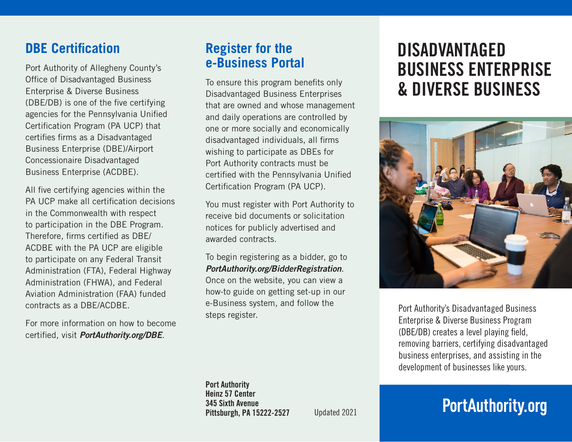### **DBE Certification**

Port Authority of Allegheny County's Office of Disadvantaged Business Enterprise & Diverse Business (DBE/DB) is one of the five certifying agencies for the Pennsylvania Unified Certification Program (PA UCP) that certifies firms as a Disadvantaged Business Enterprise (DBE)/Airport Concessionaire Disadvantaged Business Enterprise (ACDBE).

All five certifying agencies within the PA UCP make all certification decisions in the Commonwealth with respect to participation in the DBE Program. Therefore, firms certified as DBE/ ACDBE with the PA UCP are eligible to participate on any Federal Transit Administration (FTA), Federal Highway Administration (FHWA), and Federal Aviation Administration (FAA) funded contracts as a DBE/ACDBE.

For more information on how to become certified, visit *PortAuthority.org/DBE*.

#### **Register for the e-Business Portal**

To ensure this program benefits only Disadvantaged Business Enterprises that are owned and whose management and daily operations are controlled by one or more socially and economically disadvantaged individuals, all firms wishing to participate as DBEs for Port Authority contracts must be certified with the Pennsylvania Unified Certification Program (PA UCP).

You must register with Port Authority to receive bid documents or solicitation notices for publicly advertised and awarded contracts.

To begin registering as a bidder, go to *PortAuthority.org/BidderRegistration*. Once on the website, you can view a how-to guide on getting set-up in our e-Business system, and follow the steps register.

## DISADVANTAGED BUSINESS ENTERPRISE & DIVERSE BUSINESS



Port Authority's Disadvantaged Business Enterprise & Diverse Business Program (DBE/DB) creates a level playing field, removing barriers, certifying disadvantaged business enterprises, and assisting in the development of businesses like yours.

# **PortAuthority.org**

Port Authority Heinz 57 Center 345 Sixth Avenue Pittsburgh, PA 15222-2527

Updated 2021